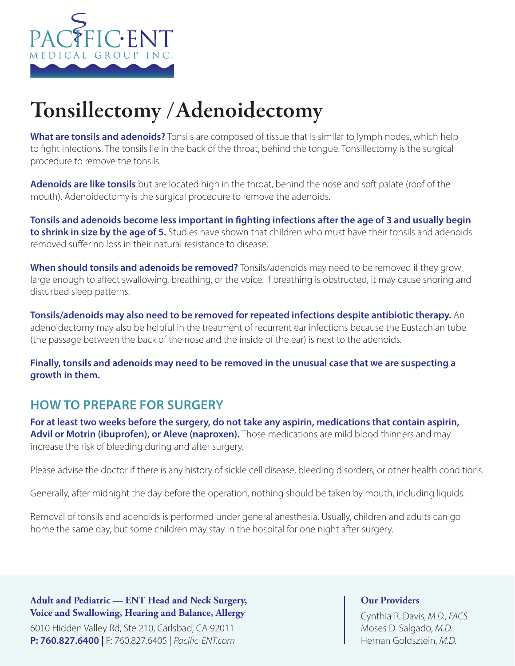

# Tonsillectomy /Adenoidectomy

**What are tonsils and adenoids?** Tonsils are composed of tissue that is similar to lymph nodes, which help to fight infections. The tonsils lie in the back of the throat, behind the tongue. Tonsillectomy is the surgical procedure to remove the tonsils.

**Adenoids are like tonsils** but are located high in the throat, behind the nose and soft palate (roof of the mouth). Adenoidectomy is the surgical procedure to remove the adenoids.

**Tonsils and adenoids become less important in fighting infections after the age of 3 and usually begin to shrink in size by the age of 5.** Studies have shown that children who must have their tonsils and adenoids removed suffer no loss in their natural resistance to disease.

**When should tonsils and adenoids be removed?** Tonsils/adenoids may need to be removed if they grow large enough to affect swallowing, breathing, or the voice. If breathing is obstructed, it may cause snoring and disturbed sleep patterns.

**Tonsils/adenoids may also need to be removed for repeated infections despite antibiotic therapy.** An adenoidectomy may also be helpful in the treatment of recurrent ear infections because the Eustachian tube (the passage between the back of the nose and the inside of the ear) is next to the adenoids.

**Finally, tonsils and adenoids may need to be removed in the unusual case that we are suspecting a growth in them.** 

## **HOW TO PREPARE FOR SURGERY**

**For at least two weeks before the surgery, do not take any aspirin, medications that contain aspirin,**  Advil or Motrin (ibuprofen), or Aleve (naproxen). Those medications are mild blood thinners and may increase the risk of bleeding during and after surgery.

Please advise the doctor if there is any history of sickle cell disease, bleeding disorders, or other health conditions.

Generally, after midnight the day before the operation, nothing should be taken by mouth, including liquids.

Removal of tonsils and adenoids is performed under general anesthesia. Usually, children and adults can go home the same day, but some children may stay in the hospital for one night after surgery.

**Adult and Pediatric — ENT Head and Neck Surgery, Voice and Swallowing, Hearing and Balance, Allergy**

6010 Hidden Valley Rd, Ste 210, Carlsbad, CA 92011 **P: 760.827.6400 |** F: 760.827.6405 | *Pacific-ENT.com*

### **Our Providers**

Cynthia R. Davis, *M.D., FACS* Moses D. Salgado, *M.D.* Hernan Goldsztein, *M.D.*